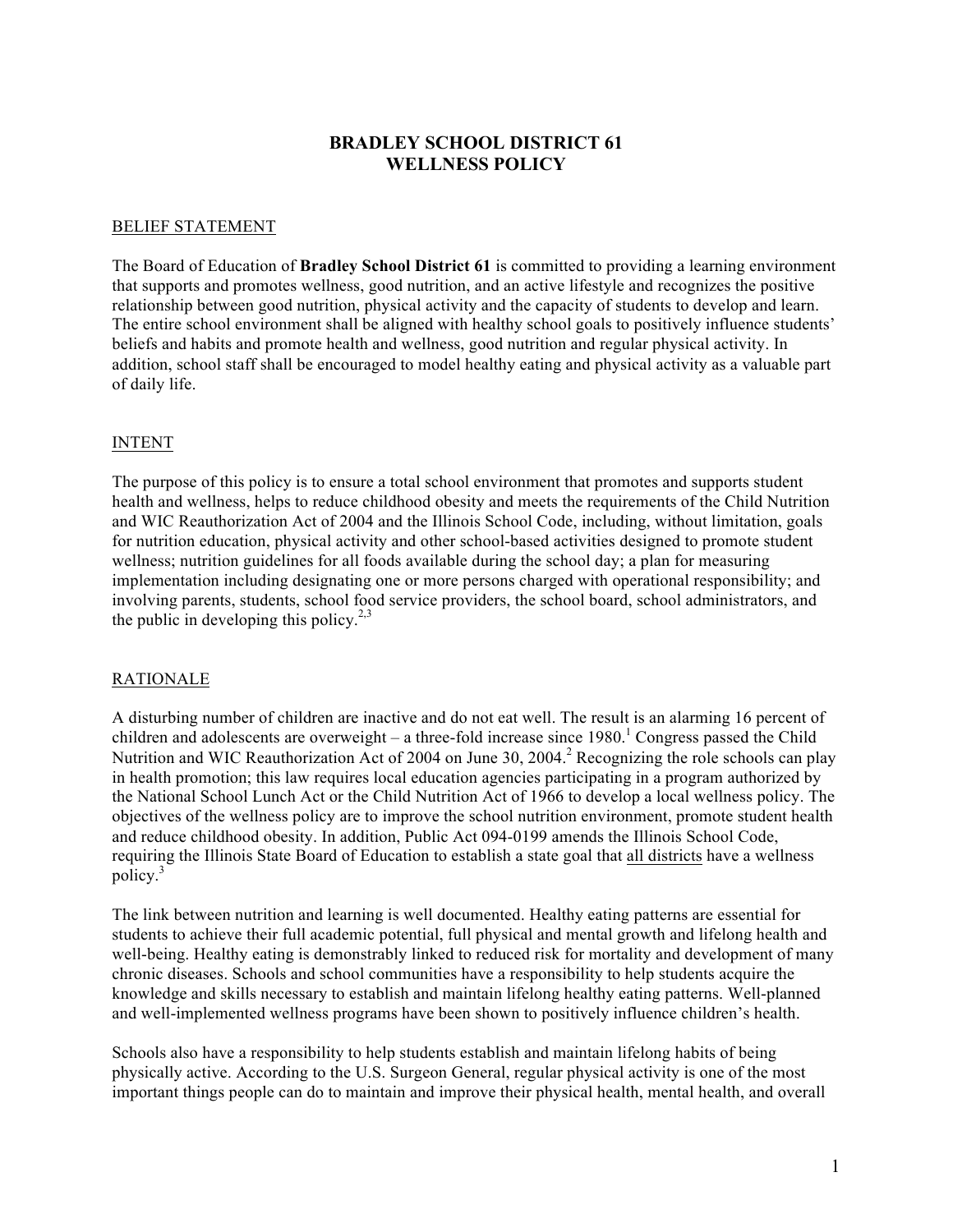## **BRADLEY SCHOOL DISTRICT 61 WELLNESS POLICY**

#### BELIEF STATEMENT

The Board of Education of **Bradley School District 61** is committed to providing a learning environment that supports and promotes wellness, good nutrition, and an active lifestyle and recognizes the positive relationship between good nutrition, physical activity and the capacity of students to develop and learn. The entire school environment shall be aligned with healthy school goals to positively influence students' beliefs and habits and promote health and wellness, good nutrition and regular physical activity. In addition, school staff shall be encouraged to model healthy eating and physical activity as a valuable part of daily life.

#### INTENT

The purpose of this policy is to ensure a total school environment that promotes and supports student health and wellness, helps to reduce childhood obesity and meets the requirements of the Child Nutrition and WIC Reauthorization Act of 2004 and the Illinois School Code, including, without limitation, goals for nutrition education, physical activity and other school-based activities designed to promote student wellness; nutrition guidelines for all foods available during the school day; a plan for measuring implementation including designating one or more persons charged with operational responsibility; and involving parents, students, school food service providers, the school board, school administrators, and the public in developing this policy.<sup>2,3</sup>

#### RATIONALE

A disturbing number of children are inactive and do not eat well. The result is an alarming 16 percent of children and adolescents are overweight – a three-fold increase since  $1980<sup>1</sup>$  Congress passed the Child Nutrition and WIC Reauthorization Act of 2004 on June 30, 2004.<sup>2</sup> Recognizing the role schools can play in health promotion; this law requires local education agencies participating in a program authorized by the National School Lunch Act or the Child Nutrition Act of 1966 to develop a local wellness policy. The objectives of the wellness policy are to improve the school nutrition environment, promote student health and reduce childhood obesity. In addition, Public Act 094-0199 amends the Illinois School Code, requiring the Illinois State Board of Education to establish a state goal that all districts have a wellness policy.<sup>3</sup>

The link between nutrition and learning is well documented. Healthy eating patterns are essential for students to achieve their full academic potential, full physical and mental growth and lifelong health and well-being. Healthy eating is demonstrably linked to reduced risk for mortality and development of many chronic diseases. Schools and school communities have a responsibility to help students acquire the knowledge and skills necessary to establish and maintain lifelong healthy eating patterns. Well-planned and well-implemented wellness programs have been shown to positively influence children's health.

Schools also have a responsibility to help students establish and maintain lifelong habits of being physically active. According to the U.S. Surgeon General, regular physical activity is one of the most important things people can do to maintain and improve their physical health, mental health, and overall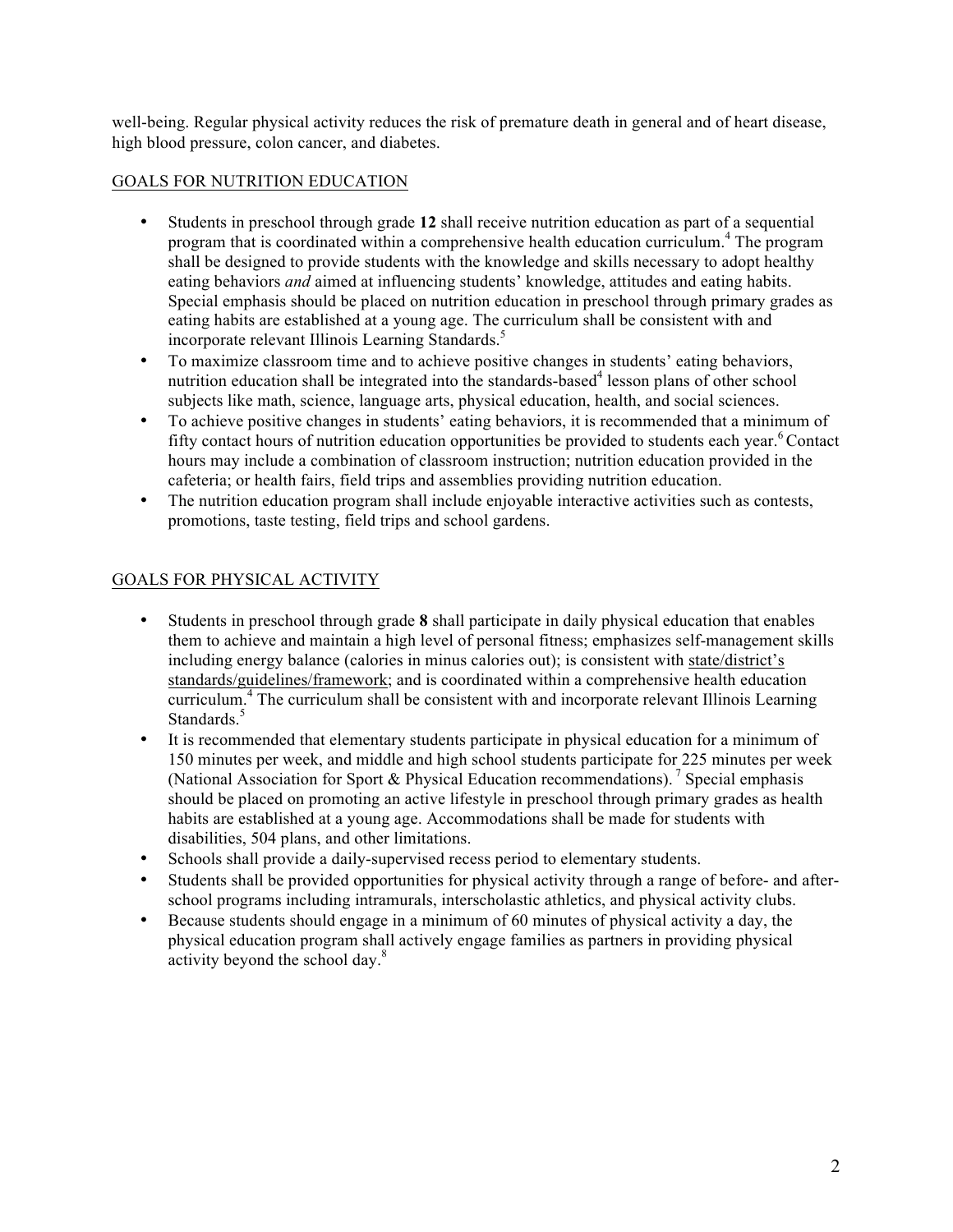well-being. Regular physical activity reduces the risk of premature death in general and of heart disease, high blood pressure, colon cancer, and diabetes.

## GOALS FOR NUTRITION EDUCATION

- Students in preschool through grade **12** shall receive nutrition education as part of a sequential program that is coordinated within a comprehensive health education curriculum. <sup>4</sup> The program shall be designed to provide students with the knowledge and skills necessary to adopt healthy eating behaviors *and* aimed at influencing students' knowledge, attitudes and eating habits. Special emphasis should be placed on nutrition education in preschool through primary grades as eating habits are established at a young age. The curriculum shall be consistent with and incorporate relevant Illinois Learning Standards.<sup>5</sup>
- To maximize classroom time and to achieve positive changes in students' eating behaviors, nutrition education shall be integrated into the standards-based<sup>4</sup> lesson plans of other school subjects like math, science, language arts, physical education, health, and social sciences.
- To achieve positive changes in students' eating behaviors, it is recommended that a minimum of fifty contact hours of nutrition education opportunities be provided to students each year.<sup>6</sup> Contact hours may include a combination of classroom instruction; nutrition education provided in the cafeteria; or health fairs, field trips and assemblies providing nutrition education.
- The nutrition education program shall include enjoyable interactive activities such as contests, promotions, taste testing, field trips and school gardens.

#### GOALS FOR PHYSICAL ACTIVITY

- Students in preschool through grade **8** shall participate in daily physical education that enables them to achieve and maintain a high level of personal fitness; emphasizes self-management skills including energy balance (calories in minus calories out); is consistent with state/district's standards/guidelines/framework; and is coordinated within a comprehensive health education curriculum.<sup>4</sup> The curriculum shall be consistent with and incorporate relevant Illinois Learning Standards.<sup>5</sup>
- It is recommended that elementary students participate in physical education for a minimum of 150 minutes per week, and middle and high school students participate for 225 minutes per week (National Association for Sport & Physical Education recommendations). <sup>7</sup> Special emphasis should be placed on promoting an active lifestyle in preschool through primary grades as health habits are established at a young age. Accommodations shall be made for students with disabilities, 504 plans, and other limitations.
- Schools shall provide a daily-supervised recess period to elementary students.
- Students shall be provided opportunities for physical activity through a range of before- and afterschool programs including intramurals, interscholastic athletics, and physical activity clubs.
- Because students should engage in a minimum of 60 minutes of physical activity a day, the physical education program shall actively engage families as partners in providing physical activity beyond the school day.<sup>8</sup>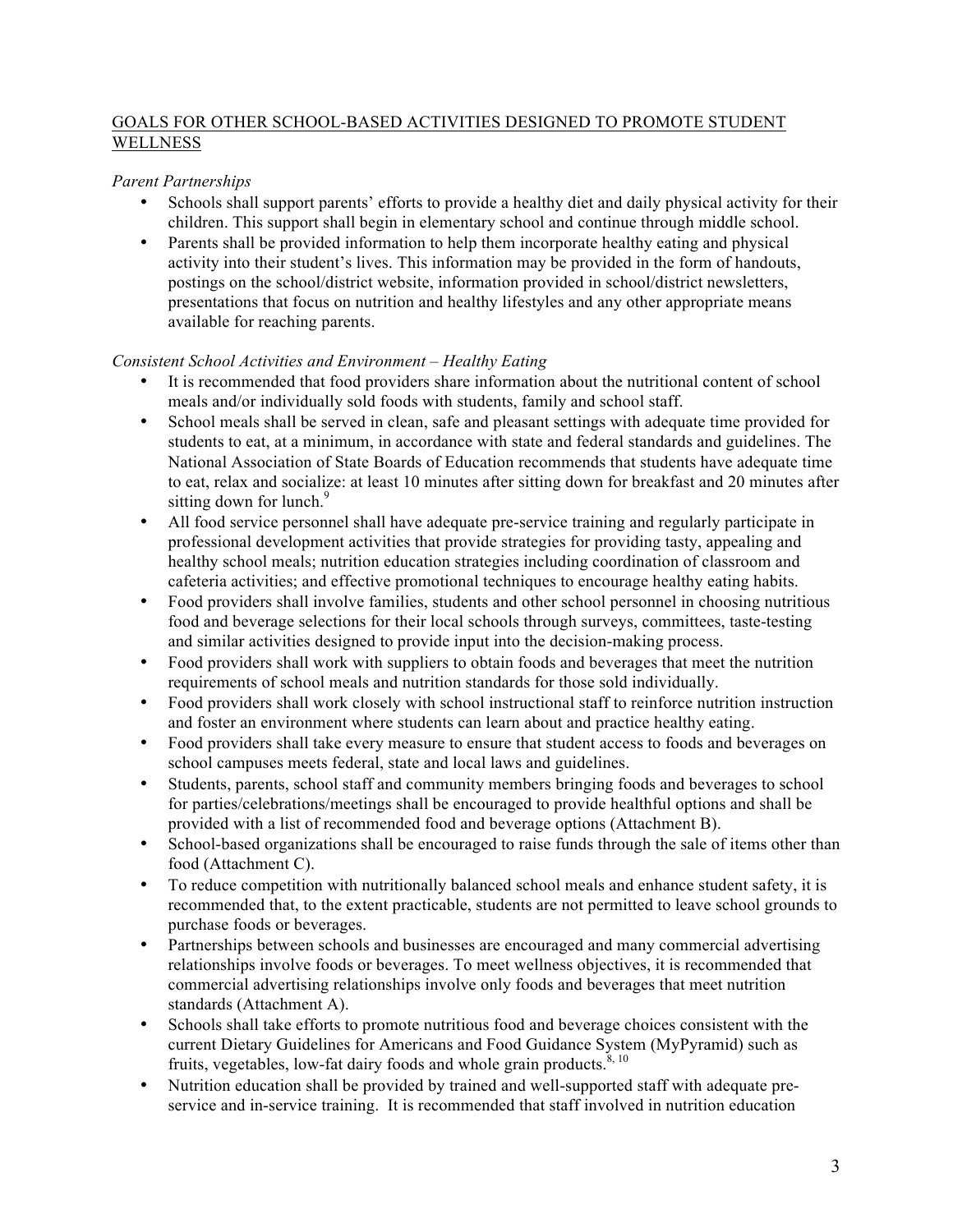## GOALS FOR OTHER SCHOOL-BASED ACTIVITIES DESIGNED TO PROMOTE STUDENT **WELLNESS**

## *Parent Partnerships*

- Schools shall support parents' efforts to provide a healthy diet and daily physical activity for their children. This support shall begin in elementary school and continue through middle school.
- Parents shall be provided information to help them incorporate healthy eating and physical activity into their student's lives. This information may be provided in the form of handouts, postings on the school/district website, information provided in school/district newsletters, presentations that focus on nutrition and healthy lifestyles and any other appropriate means available for reaching parents.

#### *Consistent School Activities and Environment – Healthy Eating*

- It is recommended that food providers share information about the nutritional content of school meals and/or individually sold foods with students, family and school staff.
- School meals shall be served in clean, safe and pleasant settings with adequate time provided for students to eat, at a minimum, in accordance with state and federal standards and guidelines. The National Association of State Boards of Education recommends that students have adequate time to eat, relax and socialize: at least 10 minutes after sitting down for breakfast and 20 minutes after sitting down for lunch.<sup>9</sup>
- All food service personnel shall have adequate pre-service training and regularly participate in professional development activities that provide strategies for providing tasty, appealing and healthy school meals; nutrition education strategies including coordination of classroom and cafeteria activities; and effective promotional techniques to encourage healthy eating habits.
- Food providers shall involve families, students and other school personnel in choosing nutritious food and beverage selections for their local schools through surveys, committees, taste-testing and similar activities designed to provide input into the decision-making process.
- Food providers shall work with suppliers to obtain foods and beverages that meet the nutrition requirements of school meals and nutrition standards for those sold individually.
- Food providers shall work closely with school instructional staff to reinforce nutrition instruction and foster an environment where students can learn about and practice healthy eating.
- Food providers shall take every measure to ensure that student access to foods and beverages on school campuses meets federal, state and local laws and guidelines.
- Students, parents, school staff and community members bringing foods and beverages to school for parties/celebrations/meetings shall be encouraged to provide healthful options and shall be provided with a list of recommended food and beverage options (Attachment B).
- School-based organizations shall be encouraged to raise funds through the sale of items other than food (Attachment C).
- To reduce competition with nutritionally balanced school meals and enhance student safety, it is recommended that, to the extent practicable, students are not permitted to leave school grounds to purchase foods or beverages.
- Partnerships between schools and businesses are encouraged and many commercial advertising relationships involve foods or beverages. To meet wellness objectives, it is recommended that commercial advertising relationships involve only foods and beverages that meet nutrition standards (Attachment A).
- Schools shall take efforts to promote nutritious food and beverage choices consistent with the current Dietary Guidelines for Americans and Food Guidance System (MyPyramid) such as fruits, vegetables, low-fat dairy foods and whole grain products. $8, 10$
- Nutrition education shall be provided by trained and well-supported staff with adequate preservice and in-service training. It is recommended that staff involved in nutrition education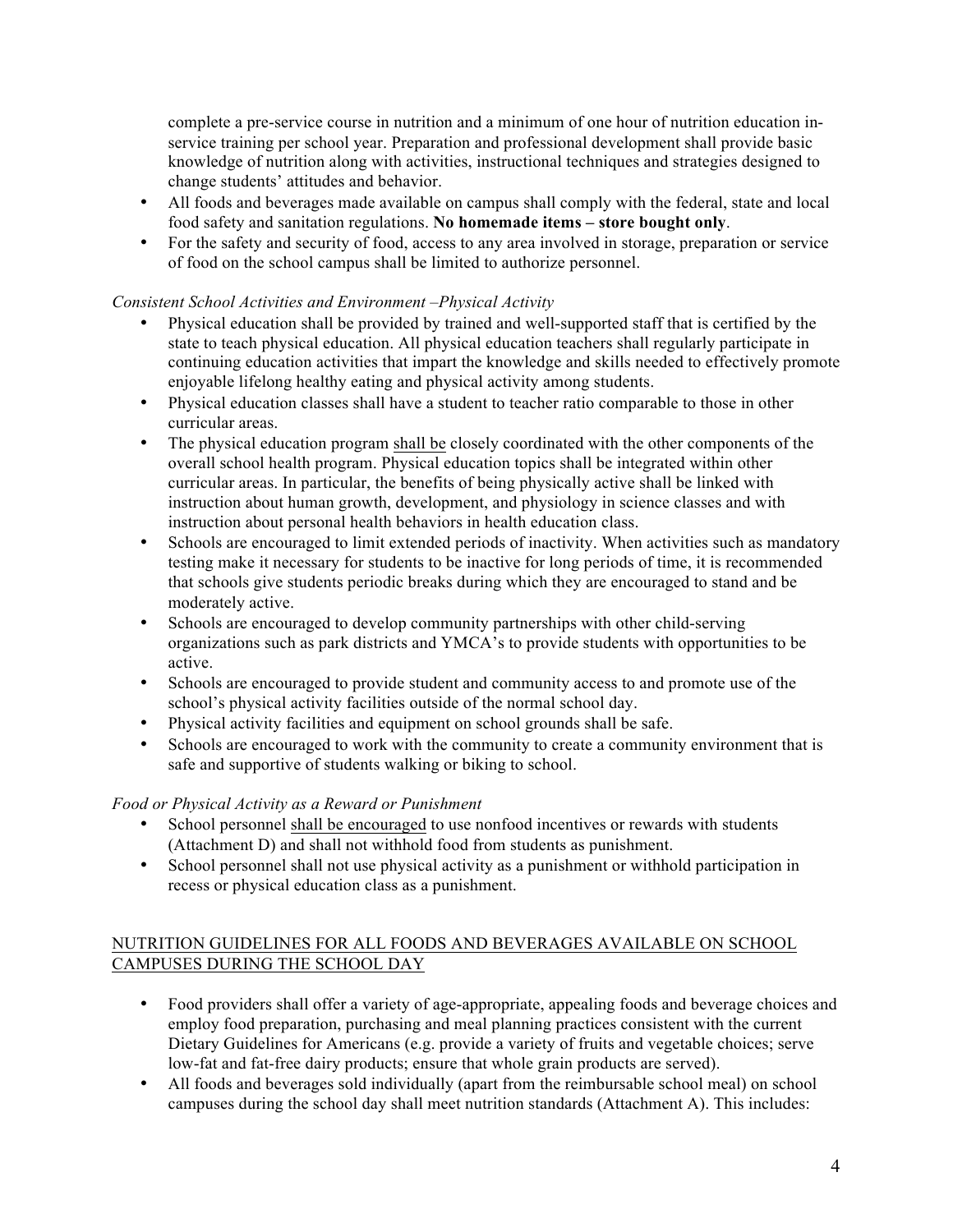complete a pre-service course in nutrition and a minimum of one hour of nutrition education inservice training per school year. Preparation and professional development shall provide basic knowledge of nutrition along with activities, instructional techniques and strategies designed to change students' attitudes and behavior.

- All foods and beverages made available on campus shall comply with the federal, state and local food safety and sanitation regulations. **No homemade items – store bought only**.
- For the safety and security of food, access to any area involved in storage, preparation or service of food on the school campus shall be limited to authorize personnel.

## *Consistent School Activities and Environment –Physical Activity*

- Physical education shall be provided by trained and well-supported staff that is certified by the state to teach physical education. All physical education teachers shall regularly participate in continuing education activities that impart the knowledge and skills needed to effectively promote enjoyable lifelong healthy eating and physical activity among students.
- Physical education classes shall have a student to teacher ratio comparable to those in other curricular areas.
- The physical education program shall be closely coordinated with the other components of the overall school health program. Physical education topics shall be integrated within other curricular areas. In particular, the benefits of being physically active shall be linked with instruction about human growth, development, and physiology in science classes and with instruction about personal health behaviors in health education class.
- Schools are encouraged to limit extended periods of inactivity. When activities such as mandatory testing make it necessary for students to be inactive for long periods of time, it is recommended that schools give students periodic breaks during which they are encouraged to stand and be moderately active.
- Schools are encouraged to develop community partnerships with other child-serving organizations such as park districts and YMCA's to provide students with opportunities to be active.
- Schools are encouraged to provide student and community access to and promote use of the school's physical activity facilities outside of the normal school day.
- Physical activity facilities and equipment on school grounds shall be safe.
- Schools are encouraged to work with the community to create a community environment that is safe and supportive of students walking or biking to school.

## *Food or Physical Activity as a Reward or Punishment*

- School personnel shall be encouraged to use nonfood incentives or rewards with students (Attachment D) and shall not withhold food from students as punishment.
- School personnel shall not use physical activity as a punishment or withhold participation in recess or physical education class as a punishment.

## NUTRITION GUIDELINES FOR ALL FOODS AND BEVERAGES AVAILABLE ON SCHOOL CAMPUSES DURING THE SCHOOL DAY

- Food providers shall offer a variety of age-appropriate, appealing foods and beverage choices and employ food preparation, purchasing and meal planning practices consistent with the current Dietary Guidelines for Americans (e.g. provide a variety of fruits and vegetable choices; serve low-fat and fat-free dairy products; ensure that whole grain products are served).
- All foods and beverages sold individually (apart from the reimbursable school meal) on school campuses during the school day shall meet nutrition standards (Attachment A). This includes: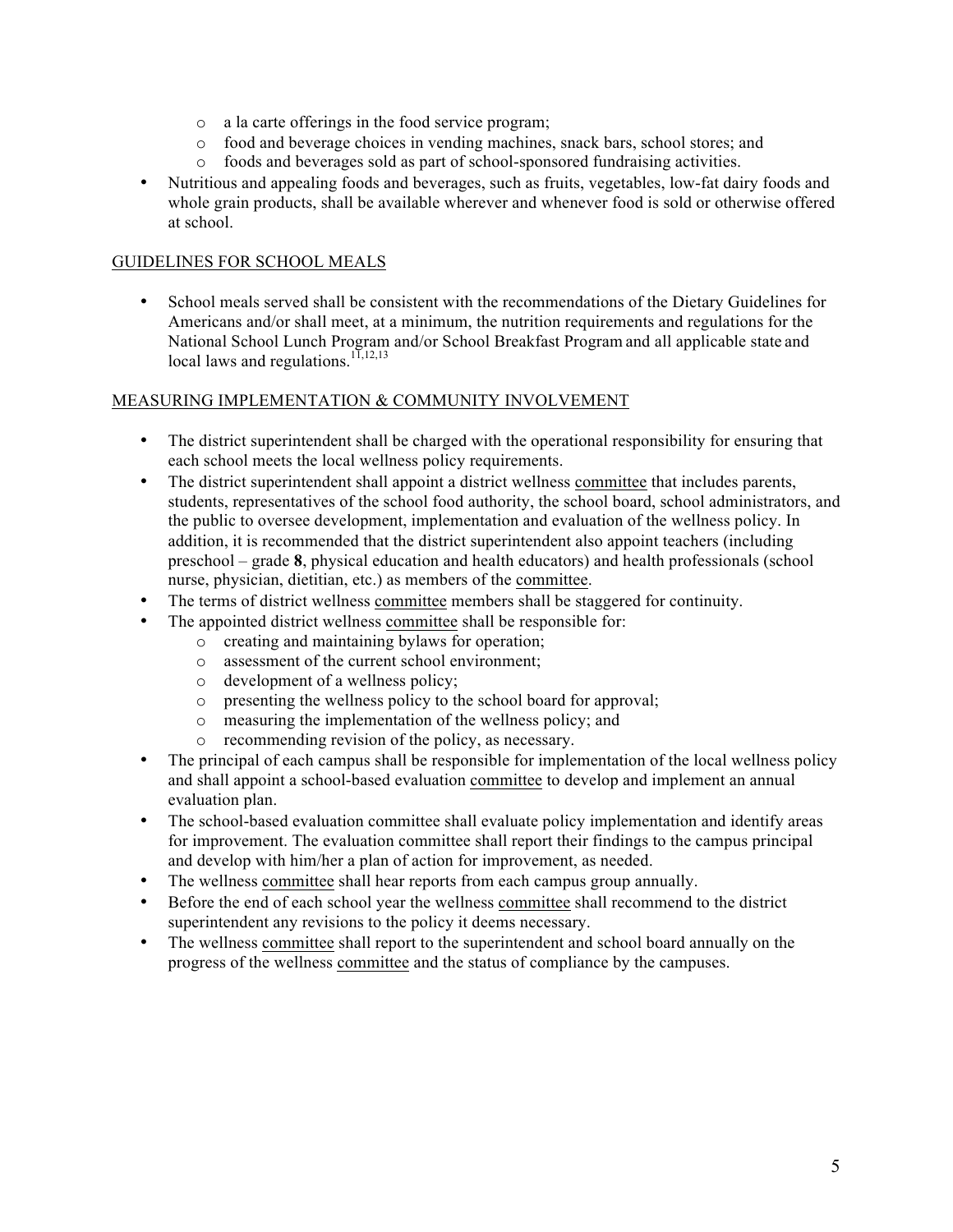- o a la carte offerings in the food service program;
- o food and beverage choices in vending machines, snack bars, school stores; and
- o foods and beverages sold as part of school-sponsored fundraising activities.
- Nutritious and appealing foods and beverages, such as fruits, vegetables, low-fat dairy foods and whole grain products, shall be available wherever and whenever food is sold or otherwise offered at school.

## GUIDELINES FOR SCHOOL MEALS

• School meals served shall be consistent with the recommendations of the Dietary Guidelines for Americans and/or shall meet, at a minimum, the nutrition requirements and regulations for the National School Lunch Program and/or School Breakfast Program and all applicable state and local laws and regulations.<sup>11,12,13</sup>

#### MEASURING IMPLEMENTATION & COMMUNITY INVOLVEMENT

- The district superintendent shall be charged with the operational responsibility for ensuring that each school meets the local wellness policy requirements.
- The district superintendent shall appoint a district wellness committee that includes parents, students, representatives of the school food authority, the school board, school administrators, and the public to oversee development, implementation and evaluation of the wellness policy. In addition, it is recommended that the district superintendent also appoint teachers (including preschool – grade **8**, physical education and health educators) and health professionals (school nurse, physician, dietitian, etc.) as members of the committee.
- The terms of district wellness committee members shall be staggered for continuity.
- The appointed district wellness committee shall be responsible for:
	- o creating and maintaining bylaws for operation;
	- o assessment of the current school environment;
	- o development of a wellness policy;
	- o presenting the wellness policy to the school board for approval;
	- o measuring the implementation of the wellness policy; and
	- o recommending revision of the policy, as necessary.
- The principal of each campus shall be responsible for implementation of the local wellness policy and shall appoint a school-based evaluation committee to develop and implement an annual evaluation plan.
- The school-based evaluation committee shall evaluate policy implementation and identify areas for improvement. The evaluation committee shall report their findings to the campus principal and develop with him/her a plan of action for improvement, as needed.
- The wellness committee shall hear reports from each campus group annually.
- Before the end of each school year the wellness committee shall recommend to the district superintendent any revisions to the policy it deems necessary.
- The wellness committee shall report to the superintendent and school board annually on the progress of the wellness committee and the status of compliance by the campuses.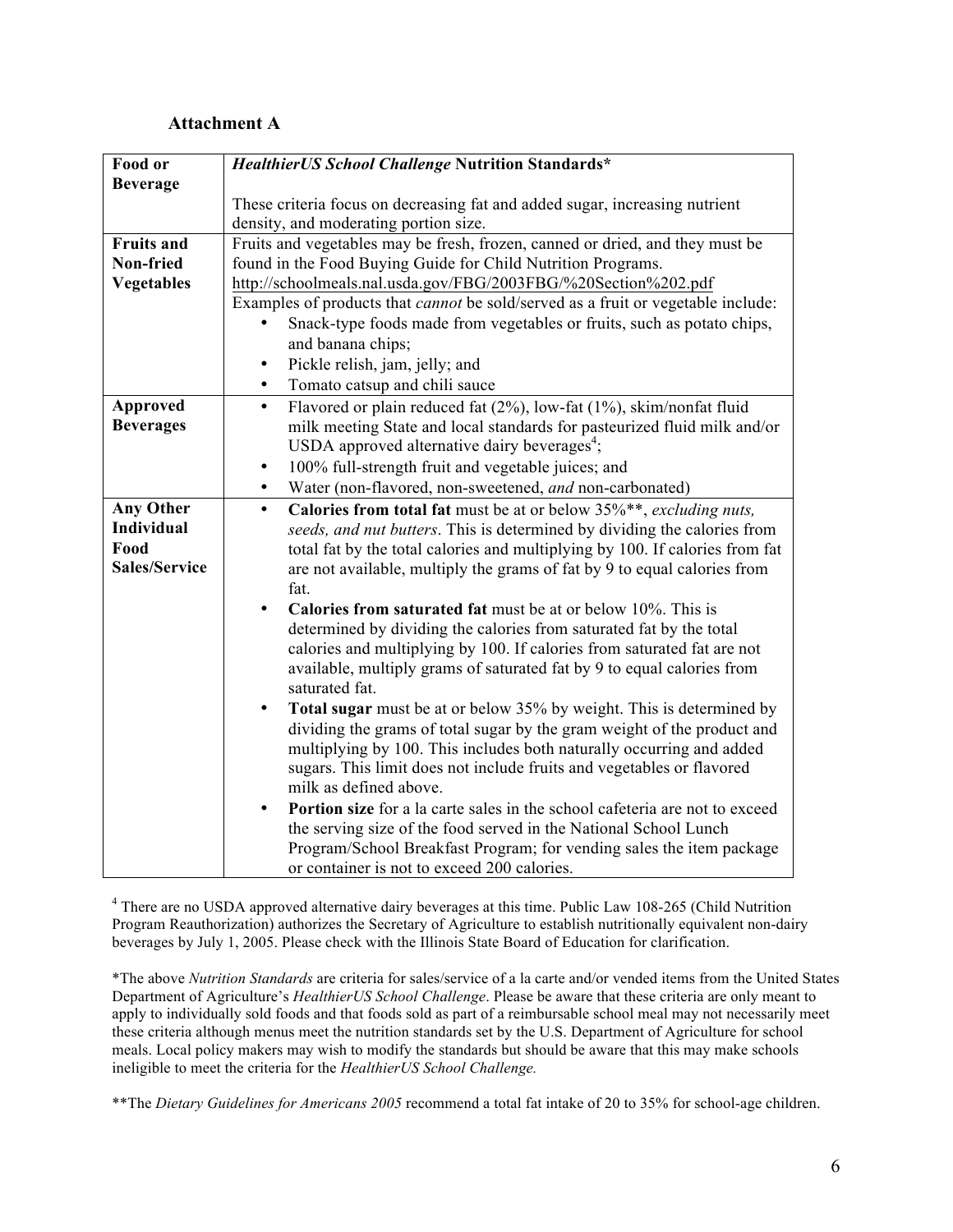#### **Attachment A**

| HealthierUS School Challenge Nutrition Standards*                                                                                        |
|------------------------------------------------------------------------------------------------------------------------------------------|
|                                                                                                                                          |
| These criteria focus on decreasing fat and added sugar, increasing nutrient                                                              |
| density, and moderating portion size.                                                                                                    |
| Fruits and vegetables may be fresh, frozen, canned or dried, and they must be                                                            |
| found in the Food Buying Guide for Child Nutrition Programs.                                                                             |
| http://schoolmeals.nal.usda.gov/FBG/2003FBG/%20Section%202.pdf                                                                           |
| Examples of products that <i>cannot</i> be sold/served as a fruit or vegetable include:                                                  |
| Snack-type foods made from vegetables or fruits, such as potato chips,                                                                   |
| and banana chips;                                                                                                                        |
| Pickle relish, jam, jelly; and<br>$\bullet$                                                                                              |
| Tomato catsup and chili sauce<br>$\bullet$                                                                                               |
| Flavored or plain reduced fat (2%), low-fat (1%), skim/nonfat fluid<br>$\bullet$                                                         |
| milk meeting State and local standards for pasteurized fluid milk and/or                                                                 |
| USDA approved alternative dairy beverages <sup>4</sup> ;                                                                                 |
| 100% full-strength fruit and vegetable juices; and<br>$\bullet$                                                                          |
| Water (non-flavored, non-sweetened, and non-carbonated)<br>$\bullet$                                                                     |
| Calories from total fat must be at or below 35%**, excluding nuts,<br>$\bullet$                                                          |
| seeds, and nut butters. This is determined by dividing the calories from                                                                 |
| total fat by the total calories and multiplying by 100. If calories from fat                                                             |
| are not available, multiply the grams of fat by 9 to equal calories from                                                                 |
| fat.                                                                                                                                     |
| Calories from saturated fat must be at or below 10%. This is<br>$\bullet$                                                                |
| determined by dividing the calories from saturated fat by the total                                                                      |
| calories and multiplying by 100. If calories from saturated fat are not                                                                  |
| available, multiply grams of saturated fat by 9 to equal calories from                                                                   |
| saturated fat.                                                                                                                           |
| Total sugar must be at or below 35% by weight. This is determined by<br>$\bullet$                                                        |
| dividing the grams of total sugar by the gram weight of the product and                                                                  |
| multiplying by 100. This includes both naturally occurring and added                                                                     |
| sugars. This limit does not include fruits and vegetables or flavored                                                                    |
| milk as defined above.                                                                                                                   |
| Portion size for a la carte sales in the school cafeteria are not to exceed<br>$\bullet$                                                 |
| the serving size of the food served in the National School Lunch<br>Program/School Breakfast Program; for vending sales the item package |
| or container is not to exceed 200 calories.                                                                                              |
|                                                                                                                                          |

<sup>4</sup> There are no USDA approved alternative dairy beverages at this time. Public Law 108-265 (Child Nutrition Program Reauthorization) authorizes the Secretary of Agriculture to establish nutritionally equivalent non-dairy beverages by July 1, 2005. Please check with the Illinois State Board of Education for clarification.

\*The above *Nutrition Standards* are criteria for sales/service of a la carte and/or vended items from the United States Department of Agriculture's *HealthierUS School Challenge*. Please be aware that these criteria are only meant to apply to individually sold foods and that foods sold as part of a reimbursable school meal may not necessarily meet these criteria although menus meet the nutrition standards set by the U.S. Department of Agriculture for school meals. Local policy makers may wish to modify the standards but should be aware that this may make schools ineligible to meet the criteria for the *HealthierUS School Challenge.*

\*\*The *Dietary Guidelines for Americans 2005* recommend a total fat intake of 20 to 35% for school-age children.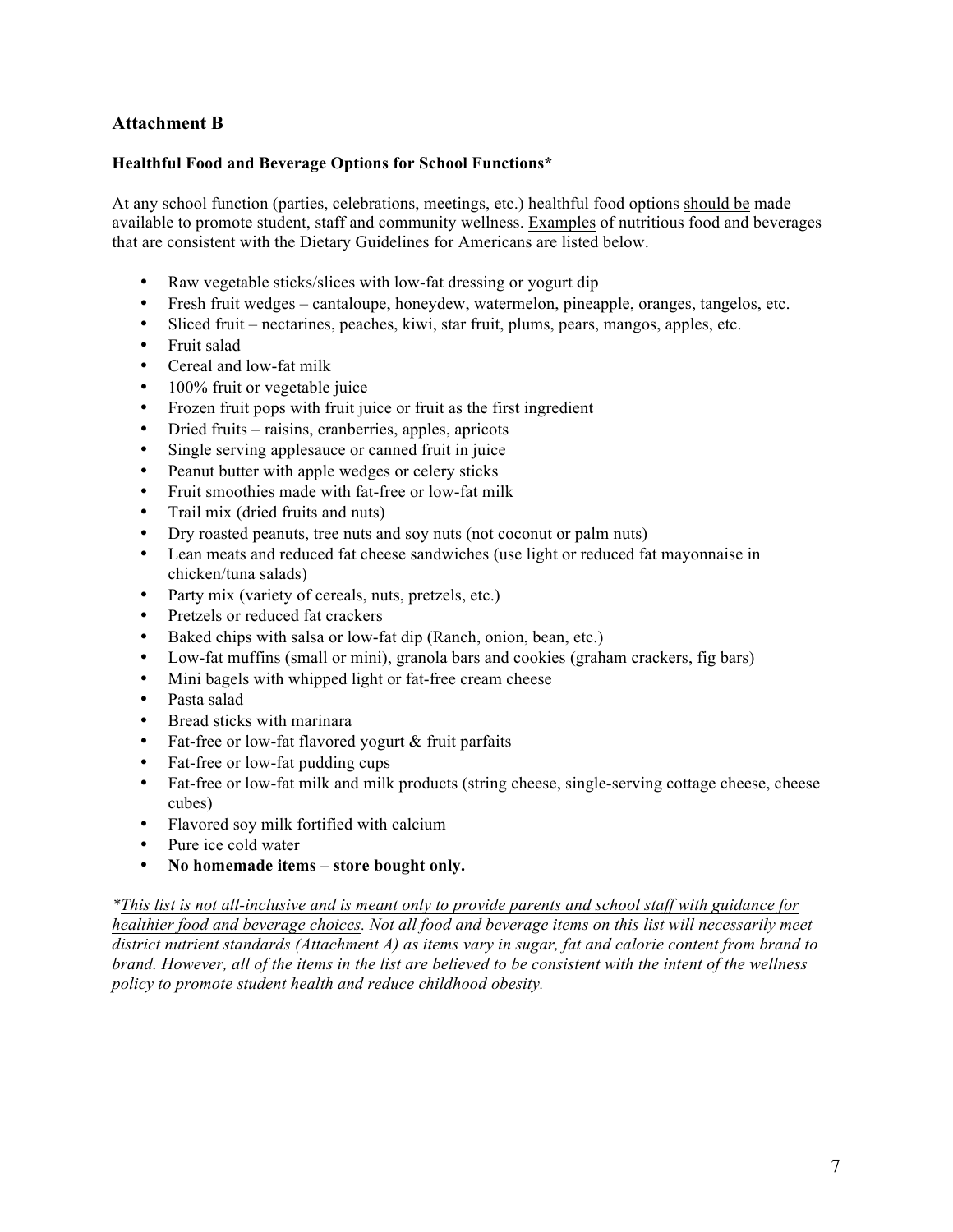# **Attachment B**

#### **Healthful Food and Beverage Options for School Functions\***

At any school function (parties, celebrations, meetings, etc.) healthful food options should be made available to promote student, staff and community wellness. Examples of nutritious food and beverages that are consistent with the Dietary Guidelines for Americans are listed below.

- Raw vegetable sticks/slices with low-fat dressing or yogurt dip
- Fresh fruit wedges cantaloupe, honeydew, watermelon, pineapple, oranges, tangelos, etc.
- Sliced fruit nectarines, peaches, kiwi, star fruit, plums, pears, mangos, apples, etc.
- Fruit salad
- Cereal and low-fat milk
- 100% fruit or vegetable juice
- Frozen fruit pops with fruit juice or fruit as the first ingredient
- Dried fruits raisins, cranberries, apples, apricots
- Single serving applesauce or canned fruit in juice
- Peanut butter with apple wedges or celery sticks
- Fruit smoothies made with fat-free or low-fat milk
- Trail mix (dried fruits and nuts)
- Dry roasted peanuts, tree nuts and soy nuts (not coconut or palm nuts)
- Lean meats and reduced fat cheese sandwiches (use light or reduced fat mayonnaise in chicken/tuna salads)
- Party mix (variety of cereals, nuts, pretzels, etc.)
- Pretzels or reduced fat crackers
- Baked chips with salsa or low-fat dip (Ranch, onion, bean, etc.)
- Low-fat muffins (small or mini), granola bars and cookies (graham crackers, fig bars)
- Mini bagels with whipped light or fat-free cream cheese
- Pasta salad
- Bread sticks with marinara
- Fat-free or low-fat flavored yogurt & fruit parfaits
- Fat-free or low-fat pudding cups
- Fat-free or low-fat milk and milk products (string cheese, single-serving cottage cheese, cheese cubes)
- Flavored soy milk fortified with calcium
- Pure ice cold water
- **No homemade items – store bought only.**

*\*This list is not all-inclusive and is meant only to provide parents and school staff with guidance for healthier food and beverage choices. Not all food and beverage items on this list will necessarily meet district nutrient standards (Attachment A) as items vary in sugar, fat and calorie content from brand to brand. However, all of the items in the list are believed to be consistent with the intent of the wellness policy to promote student health and reduce childhood obesity.*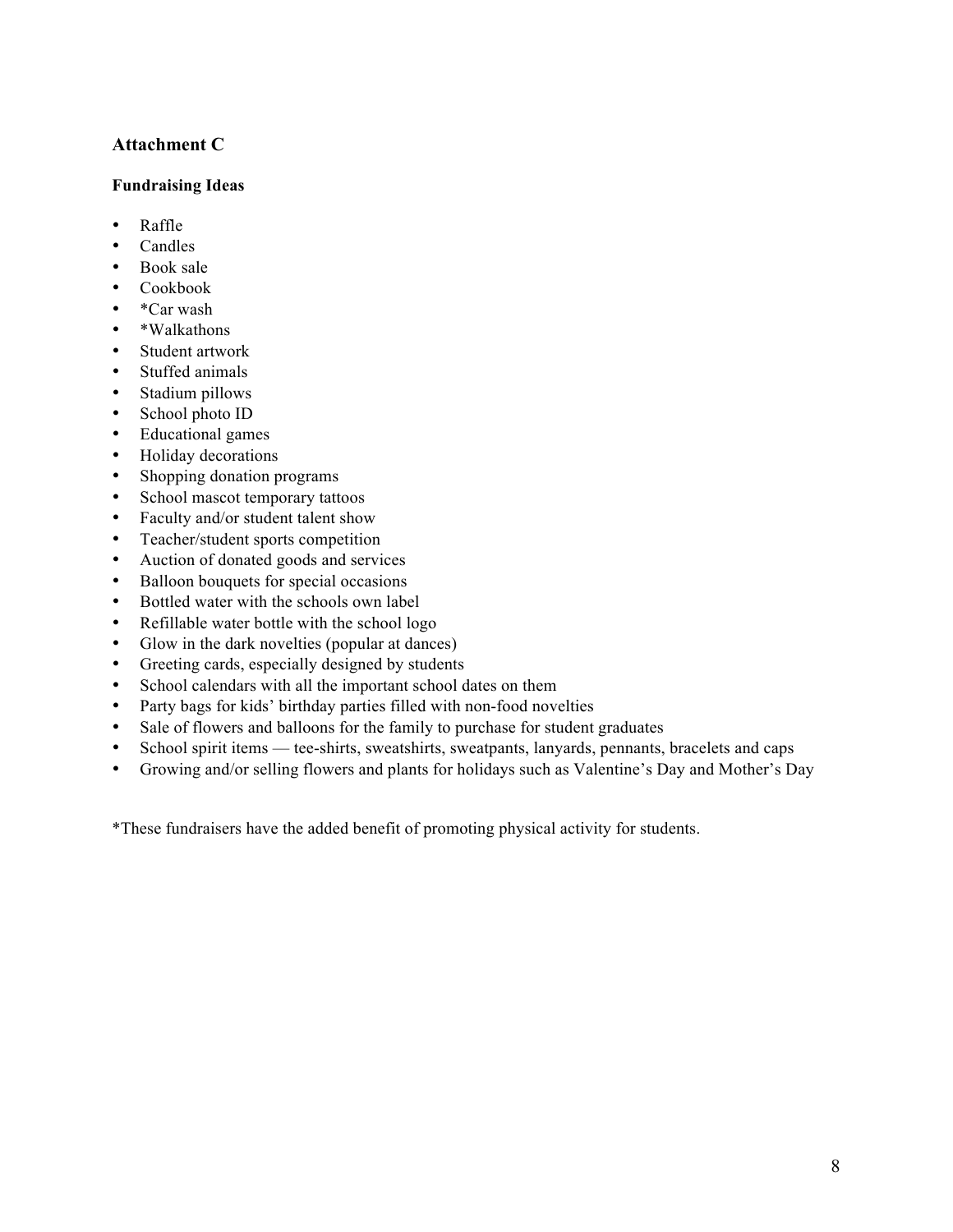# **Attachment C**

#### **Fundraising Ideas**

- Raffle
- Candles
- Book sale
- Cookbook
- \*Car wash
- \*Walkathons
- Student artwork
- Stuffed animals
- Stadium pillows
- School photo ID
- Educational games
- Holiday decorations
- Shopping donation programs
- School mascot temporary tattoos
- Faculty and/or student talent show
- Teacher/student sports competition
- Auction of donated goods and services
- Balloon bouquets for special occasions
- Bottled water with the schools own label
- Refillable water bottle with the school logo
- Glow in the dark novelties (popular at dances)
- Greeting cards, especially designed by students
- School calendars with all the important school dates on them
- Party bags for kids' birthday parties filled with non-food novelties
- Sale of flowers and balloons for the family to purchase for student graduates
- School spirit items tee-shirts, sweatshirts, sweatpants, lanyards, pennants, bracelets and caps
- Growing and/or selling flowers and plants for holidays such as Valentine's Day and Mother's Day

\*These fundraisers have the added benefit of promoting physical activity for students.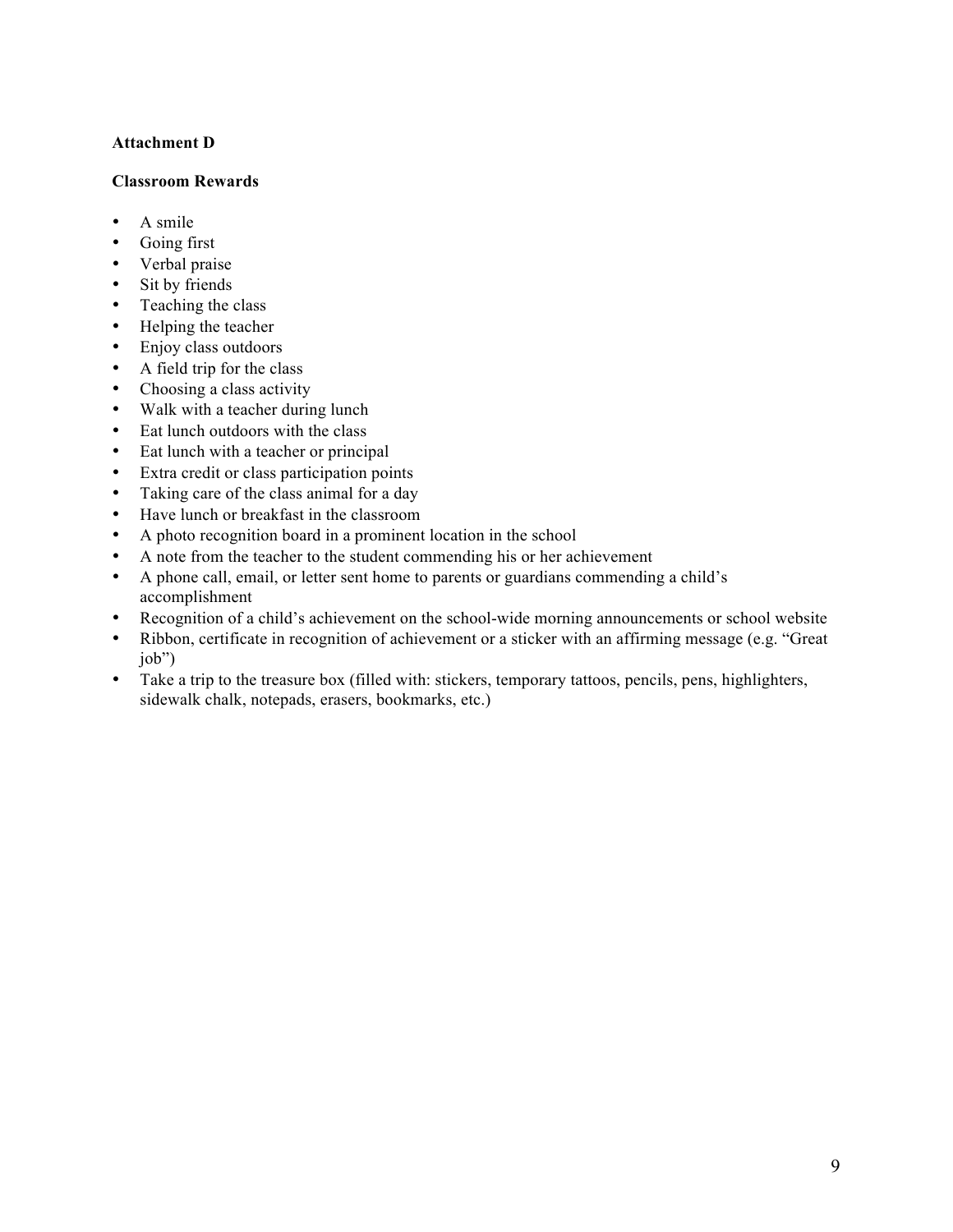#### **Attachment D**

#### **Classroom Rewards**

- A smile
- Going first
- Verbal praise
- Sit by friends
- Teaching the class
- Helping the teacher
- Enjoy class outdoors
- A field trip for the class
- Choosing a class activity
- Walk with a teacher during lunch
- Eat lunch outdoors with the class
- Eat lunch with a teacher or principal
- Extra credit or class participation points
- Taking care of the class animal for a day
- Have lunch or breakfast in the classroom
- A photo recognition board in a prominent location in the school
- A note from the teacher to the student commending his or her achievement
- A phone call, email, or letter sent home to parents or guardians commending a child's accomplishment
- Recognition of a child's achievement on the school-wide morning announcements or school website
- Ribbon, certificate in recognition of achievement or a sticker with an affirming message (e.g. "Great job")
- Take a trip to the treasure box (filled with: stickers, temporary tattoos, pencils, pens, highlighters, sidewalk chalk, notepads, erasers, bookmarks, etc.)